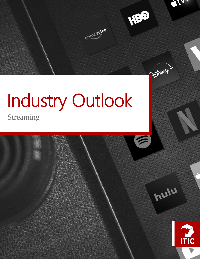

# Industry Outlook

Streaming

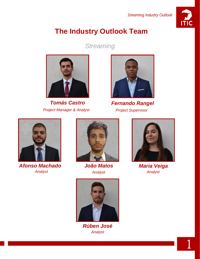

1

# **The Industry Outlook Team**

*Streaming*



*Project Manager & Analyst Project Supervisor*



*Tomás Castro Fernando Rangel*



*Afonso Machado Analyst*



*João Matos Analyst*



*Rúben José Analyst*



*Maria Veiga Analyst*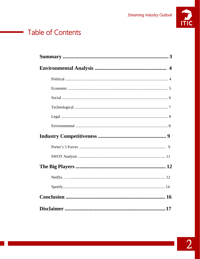

# **Table of Contents**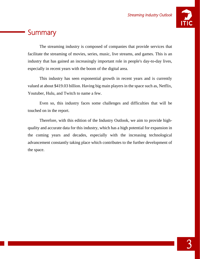

# **Summary**

The streaming industry is composed of companies that provide services that facilitate the streaming of movies, series, music, live streams, and games. This is an industry that has gained an increasingly important role in people's day-to-day lives, especially in recent years with the boom of the digital area.

This industry has seen exponential growth in recent years and is currently valued at about \$419.03 billion. Having big main players in the space such as, Netflix, Youtuber, Hulu, and Twitch to name a few.

Even so, this industry faces some challenges and difficulties that will be touched on in the report.

Therefore, with this edition of the Industry Outlook, we aim to provide highquality and accurate data for this industry, which has a high potential for expansion in the coming years and decades, especially with the increasing technological advancement constantly taking place which contributes to the further development of the space.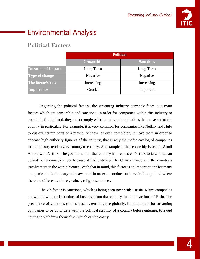

# Environmental Analysis

## **Political Factors**

|                           | <b>Political</b>  |                  |
|---------------------------|-------------------|------------------|
|                           | <b>Censorship</b> | <b>Sanctions</b> |
| <b>Duration of Impact</b> | Long Term         | Long Term        |
| <b>Type of change</b>     | Negative          | Negative         |
| The factor's rate         | Increasing        | Increasing       |
| Importance                | Crucial           | Important        |

Regarding the political factors, the streaming industry currently faces two main factors which are censorship and sanctions. In order for companies within this industry to operate in foreign land, they must comply with the rules and regulations that are asked of the country in particular. For example, it is very common for companies like Netflix and Hulu to cut out certain parts of a movie, tv show, or even completely remove them in order to appease high authority figueres of the country, that is why the media catalog of companies in the industry tend to vary country to country. An example of the censorship is seen in Saudi Arabia with Netflix. The government of that country had requested Netflix to take down an episode of a comedy show because it had criticized the Crown Prince and the country's involvement in the war in Yemen. With that in mind, this factor is an important one for many companies in the industry to be aware of in order to conduct business in foreign land where there are different cultures, values, religions, and etc.

The 2<sup>nd</sup> factor is sanctions, which is being seen now with Russia. Many companies are withdrawing their conduct of business from that country due to the actions of Putin. The prevalence of sanctions can increase as tensions rise globally. It is important for streaming companies to be up to date with the political stability of a country before entering, to avoid having to withdraw themselves which can be costly.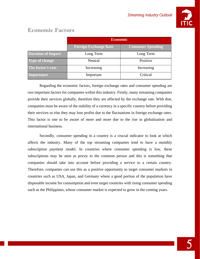

|                           | <b>Economic</b>              |                          |
|---------------------------|------------------------------|--------------------------|
|                           | <b>Foreign Exchange Rate</b> | <b>Consumer Spending</b> |
| <b>Duration of Impact</b> | Long Term                    | Long Term                |
| <b>Type of change</b>     | Neutral                      | Positive                 |
| The factor's rate         | Increasing                   | Increasing               |
| <b>Importance</b>         | Important                    | Critical                 |

## **Economic Factors**

Regarding the economic factors, foreign exchange rates and consumer spending are two important factors for companies within this industry. Firstly, many streaming companies provide their services globally, therefore they are affected by the exchange rate. With that, companies must be aware of the stability of a currency in a specific country before providing their services or else they may lose profits due to the fluctuations in foreign exchange rates. This factor is one to be aware of more and more due to the rise in globalization and international business.

Secondly, consumer spending in a country is a crucial indicator to look at which affects the industry. Many of the top streaming companies tend to have a monthly subscription payment model. In countries where consumer spending is low, these subscriptions may be seen as pricey to the common person and this is something that companies should take into account before providing a service to a certain country. Therefore, companies can use this as a positive opportunity to target consumer markets in countries such as USA, Japan, and Germany where a good portion of the population have disposable income for consumption and even target countries with rising consumer spending such as the Philippines, whose consumer market is expected to grow in the coming years.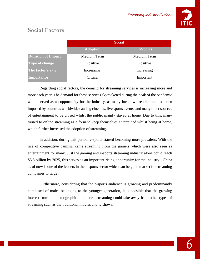

## **Social Factors**

|                           | <b>Social</b>   |                 |
|---------------------------|-----------------|-----------------|
|                           | <b>Adoption</b> | <b>E-Sports</b> |
| <b>Duration of Impact</b> | Medium Term     | Medium Term     |
| Type of change            | Positive        | Positive        |
| The factor's rate         | Increasing      | Increasing      |
| <b>Importance</b>         | Critical        | Important       |

Regarding social factors, the demand for streaming services is increasing more and more each year. The demand for these services skyrocketed during the peak of the pandemic which served as an opportunity for the industry, as many lockdown restrictions had been imposed by countries worldwide causing cinemas, live sports events, and many other sources of entertainment to be closed whilst the public mainly stayed at home. Due to this, many turned to online streaming as a form to keep themselves entertained whilst being at home, which further increased the adoption of streaming.

In addition, during this period, e-sports started becoming more prevalent. With the rise of competitive gaming, came streaming from the gamers which were also seen as entertainment for many. Just the gaming and e-sports streaming industry alone could reach \$3.5 billion by 2025, this serves as an important rising opportunity for the industry. China as of now is one of the leaders in the e-sports sector which can be good market for streaming companies to target.

Furthermore, considering that the e-sports audience is growing and predominantly composed of males belonging to the younger generation, it is possible that the growing interest from this demographic in e-sports streaming could take away from other types of streaming such as the traditional movies and tv shows.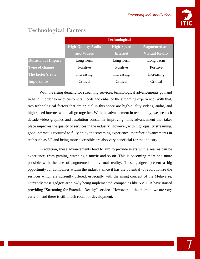

|                           | <b>Technological</b>      |                   |                        |
|---------------------------|---------------------------|-------------------|------------------------|
|                           | <b>High-Quality Audio</b> | <b>High-Speed</b> | <b>Augmented and</b>   |
|                           | and Videos                | <b>Internet</b>   | <b>Virtual Reality</b> |
| <b>Duration of Impact</b> | Long Term                 | Long Term         | Long Term              |
| <b>Type of change</b>     | Positive                  | Positive          | Positive               |
| The factor's rate         | Increasing                | Increasing        | Increasing             |
| Importance                | Critical                  | Critical          | Critical               |

## **Technological Factors**

With the rising demand for streaming services, technological advancements go hand in hand in order to meet customers' needs and enhance the streaming experience. With that, two technological factors that are crucial in this space are high-quality videos, audio, and high-speed internet which all go together. With the advancement in technology, we see each decade video graphics and resolution constantly improving. This advancement that takes place improves the quality of services in the industry. However, with high-quality streaming, good internet is required to fully enjoy the streaming experience, therefore advancements in tech such as 5G and being more accessible are also very beneficial for the industry.

In addition, these advancements tend to aim to provide users with a real as can be experience, from gaming, watching a movie and so on. This is becoming more and more possible with the use of augmented and virtual reality. These gadgets present a big opportunity for companies within the industry since it has the potential to revolutionize the services which are currently offered, especially with the rising concept of the Metaverse. Currently these gadgets are slowly being implemented, companies like NVIDIA have started providing "Streaming for Extended Reality" services. However, at the moment we are very early on and there is still much room for development.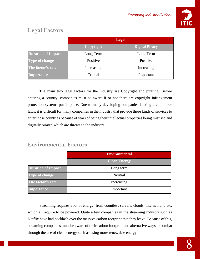

## **Legal Factors**

|                           | <b>Legal</b> |                       |
|---------------------------|--------------|-----------------------|
|                           | Copyright    | <b>Digital Piracy</b> |
| <b>Duration of Impact</b> | Long Term    | Long Term             |
| <b>Type of change</b>     | Positive     | Positive              |
| The factor's rate         | Increasing   | Increasing            |
| <b>Importance</b>         | Critical     | Important             |

The main two legal factors for the industry are Copyright and pirating. Before entering a country, companies must be aware if or not there are copyright infringement protection systems put in place. Due to many developing companies lacking e-commerce laws, it is difficult for many companies in the industry that provide these kinds of services to enter those countries because of fears of being their intellectual properties being misused and digitally pirated which are threats to the industry.

## **Environmental Factors**

|                           | <b>Environmental</b> |
|---------------------------|----------------------|
|                           | <b>Clean Energy</b>  |
| <b>Duration of Impact</b> | Long term            |
| <b>Type of change</b>     | Neutral              |
| The factor's rate         | Increasing           |
| Importance                | Important            |

Streaming requires a lot of energy, from countless servers, clouds, internet, and etc. which all require to be powered. Quite a few companies in the streaming industry such as Netflix have had backlash over the massive carbon footprint that they leave. Because of this, streaming companies must be aware of their carbon footprint and alternative ways to combat through the use of clean energy such as using more renewable energy.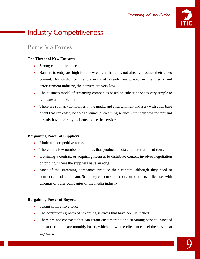

# Industry Competitiveness

## **Porter's 5 Forces**

#### **The Threat of New Entrants:**

- Strong competitive force.
- Barriers to entry are high for a new entrant that does not already produce their video content. Although, for the players that already are placed in the media and entertainment industry, the barriers are very low.
- The business model of streaming companies based on subscriptions is very simple to replicate and implement.
- There are so many companies in the media and entertainment industry with a fan base client that can easily be able to launch a streaming service with their new content and already have their loyal clients to use the service.

#### **Bargaining Power of Suppliers:**

- Moderate competitive force.
- There are a few numbers of entities that produce media and entertainment content.
- Obtaining a contract or acquiring licenses to distribute content involves negotiation on pricing, where the suppliers have an edge.
- Most of the streaming companies produce their content, although they need to contract a producing team. Still, they can cut some costs on contracts or licenses with cinemas or other companies of the media industry.

#### **Bargaining Power of Buyers:**

- Strong competitive force.
- The continuous growth of streaming services that have been launched.
- There are not contracts that can retain customers to one streaming service. Most of the subscriptions are monthly based, which allows the client to cancel the service at any time.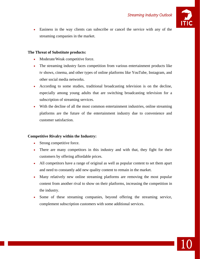

10

• Easiness in the way clients can subscribe or cancel the service with any of the streaming companies in the market.

#### **The Threat of Substitute products:**

- Moderate/Weak competitive force.
- The streaming industry faces competition from various entertainment products like tv shows, cinema, and other types of online platforms like YouTube, Instagram, and other social media networks.
- According to some studies, traditional broadcasting television is on the decline, especially among young adults that are switching broadcasting television for a subscription of streaming services.
- With the decline of all the most common entertainment industries, online streaming platforms are the future of the entertainment industry due to convenience and customer satisfaction.

#### **Competitive Rivalry within the Industry:**

- Strong competitive force.
- There are many competitors in this industry and with that, they fight for their customers by offering affordable prices.
- All competitors have a range of original as well as popular content to set them apart and need to constantly add new quality content to remain in the market.
- Many relatively new online streaming platforms are removing the most popular content from another rival to show on their platforms, increasing the competition in the industry.
- Some of these streaming companies, beyond offering the streaming service, complement subscription customers with some additional services.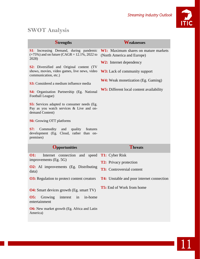

## **SWOT Analysis**

| <b>Strengths</b>                                                                                                        | <b>Weaknesses</b>                                                         |
|-------------------------------------------------------------------------------------------------------------------------|---------------------------------------------------------------------------|
| <b>S1</b> : Increasing Demand, during pandemic<br>$(+75%)$ and on future (CAGR = 12.1%, 2022 to<br>2028)                | <b>W1:</b> Maximum shares on mature markets<br>(North America and Europe) |
|                                                                                                                         | <b>W2:</b> Internet dependency                                            |
| <b>S2:</b> Diversified and Original content (TV<br>shows, movies, video games, live news, video<br>communication, etc.) | W3: Lack of community support                                             |
| <b>S3:</b> Considered a medium influence media                                                                          | <b>W4:</b> Weak monetization (Eg. Gaming)                                 |
| S4: Organisation Partnership (Eg. National<br>Football League)                                                          | <b>W5:</b> Different local content availability                           |
| <b>S5:</b> Services adapted to consumer needs (Eg.<br>Pay as you watch services & Live and on-<br>demand Content)       |                                                                           |
| <b>S6:</b> Growing OTT platforms                                                                                        |                                                                           |
| S7:<br>Commodity and quality features<br>development (Eg. Cloud, rather than on-<br>premises)                           |                                                                           |
| <b>Opportunities</b>                                                                                                    | Threats                                                                   |
| <b>O1:</b><br>and<br>speed<br>Internet connection                                                                       | <b>T1:</b> Cyber Risk                                                     |
| improvements (Eg. 5G)                                                                                                   | <b>T2:</b> Privacy protection                                             |
| <b>O2:</b> AI improvements (Eg. Distributing<br>data)                                                                   | <b>T3:</b> Controversial content                                          |
| <b>O3:</b> Regulation to protect content creators                                                                       | <b>T4:</b> Unstable and poor internet connection                          |
| <b>O4:</b> Smart devices growth (Eg. smart TV)                                                                          | T5: End of Work from home                                                 |
| <b>O5:</b><br>Growing<br>in-home<br>interest<br>in<br>entertainment                                                     |                                                                           |
| <b>O6:</b> New market growth (Eg. Africa and Latin<br>America)                                                          |                                                                           |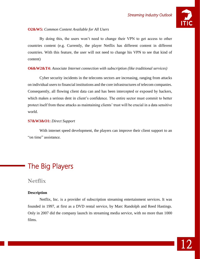

#### **O2&W5:** *Common Content Available for All Users*

By doing this, the users won't need to change their VPN to get access to other countries content (e.g. Currently, the player Netflix has different content in different countries. With this feature, the user will not need to change his VPN to see that kind of content)

#### **O6&W2&T4:** *Associate Internet connection with subscription (like traditional services)*

Cyber security incidents in the telecoms sectors are increasing, ranging from attacks on individual users to financial institutions and the core infrastructures of telecom companies. Consequently, all flowing client data can and has been intercepted or exposed by hackers, which makes a serious dent in client's confidence. The entire sector must commit to better protect itself from these attacks as maintaining clients' trust will be crucial in a data sensitive world.

#### **S7&W3&O1:** *Direct Support*

With internet speed development, the players can improve their client support to an "on time" assistance.

# The Big Players

### **Netflix**

#### **Description**

Netflix, Inc. is a provider of subscription streaming entertainment services. It was founded in 1997, at first as a DVD rental service, by Marc Randolph and Reed Hastings. Only in 2007 did the company launch its streaming media service, with no more than 1000 films.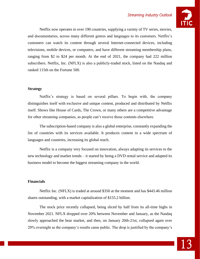#### *Streaming Industry Outlook*



Netflix now operates in over 190 countries, supplying a variety of TV series, movies, and documentaries, across many different genres and languages to its customers. Netflix's customers can watch its content through several Internet-connected devices, including televisions, mobile devices, or computers, and have different streaming membership plans, ranging from \$2 to \$24 per month. At the end of 2021, the company had 222 million subscribers. Netflix, Inc. (NFLX) is also a publicly-traded stock, listed on the Nasdaq and ranked 115th on the Fortune 500.

#### **Strategy**

Netflix's strategy is based on several pillars. To begin with, the company distinguishes itself with exclusive and unique content, produced and distributed by Netflix itself. Shows like House of Cards, The Crown, or many others are a competitive advantage for other streaming companies, as people can't receive those contents elsewhere.

The subscription-based company is also a global enterprise, constantly expanding the list of countries with its services available. It produces content in a wide spectrum of languages and countries, increasing its global reach.

Netflix is a company very focused on innovation, always adapting its services to the new technology and market trends – it started by being a DVD rental service and adapted its business model to become the biggest streaming company in the world.

#### **Financials**

Netflix Inc. (NFLX) is traded at around \$350 at the moment and has \$443.46 million shares outstanding, with a market capitalization of \$155.2 billion.

The stock price recently collapsed, being sliced by half from its all-time highs in November 2021. NFLX dropped over 20% between November and January, as the Nasdaq slowly approached the bear market, and then, on January 20th-21st, collapsed again over 20% overnight as the company's results came public. The drop is justified by the company's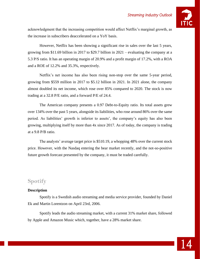#### *Streaming Industry Outlook*



acknowledgment that the increasing competition would affect Netflix's marginal growth, as the increase in subscribers deaccelerated on a YoY basis.

However, Netflix has been showing a significant rise in sales over the last 5 years, growing from \$11.69 billion in 2017 to \$29.7 billion in 2021 – evaluating the company at a 5.3 P/S ratio. It has an operating margin of 20.9% and a profit margin of 17.2%, with a ROA and a ROE of 12.2% and 35.3%, respectively.

Netflix's net income has also been rising non-stop over the same 5-year period, growing from \$559 million in 2017 to \$5.12 billion in 2021. In 2021 alone, the company almost doubled its net income, which rose over 85% compared to 2020. The stock is now trading at a 32.8 P/E ratio, and a forward P/E of 24.4.

The American company presents a 0.97 Debt-to-Equity ratio. Its total assets grew over 134% over the past 5 years, alongside its liabilities, who rose around 86% over the same period. As liabilities' growth is inferior to assets', the company's equity has also been growing, multiplying itself by more than 4x since 2017. As of today, the company is trading at a 9.8 P/B ratio.

The analysts' average target price is \$510.19, a whopping 48% over the current stock price. However, with the Nasdaq entering the bear market recently, and the not-so-positive future growth forecast presented by the company, it must be traded carefully.

## **Spotify**

#### **Description**

Spotify is a Swedish audio streaming and media service provider, founded by Daniel Ek and Martin Lorentzon on April 23rd, 2006.

Spotify leads the audio streaming market, with a current 31% market share, followed by Apple and Amazon Music which, together, have a 28% market share.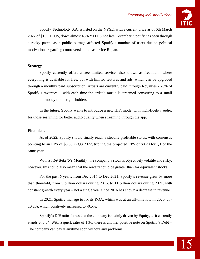

Spotify Technology S.A. is listed on the NYSE, with a current price as of 6th March 2022 of \$135.17 US, down almost 45% YTD. Since late December, Spotify has been through a rocky patch, as a public outrage affected Spotify's number of users due to political motivations regarding controversial podcaster Joe Rogan.

#### **Strategy**

Spotify currently offers a free limited service, also known as freemium, where everything is available for free, but with limited features and ads, which can be upgraded through a monthly paid subscription. Artists are currently paid through Royalties - 70% of Spotify's revenues -, with each time the artist's music is streamed converting to a small amount of money to the rightsholders.

In the future, Spotify wants to introduce a new HiFi mode, with high-fidelity audio, for those searching for better audio quality when streaming through the app.

#### **Financials**

As of 2022, Spotify should finally reach a steadily profitable status, with consensus pointing to an EPS of \$0.60 in Q3 2022, tripling the projected EPS of \$0.20 for Q1 of the same year.

With a 1.69 Beta (5Y Monthly) the company's stock is objectively volatile and risky, however, this could also mean that the reward could be greater than for equivalent stocks.

For the past 6 years, from Dec 2016 to Dec 2021, Spotify's revenue grew by more than threefold, from 3 billion dollars during 2016, to 11 billion dollars during 2021, with constant growth every year – not a single year since 2016 has shown a decrease in revenue.

In 2021, Spotify manage to fix its ROA, which was at an all-time low in 2020, at - 10.2%, which positively increased to -0.5%.

Spotify's D/E ratio shows that the company is mainly driven by Equity, as it currently stands at 0.84. With a quick ratio of 1.36, there is another positive note on Spotify's Debt – The company can pay it anytime soon without any problems.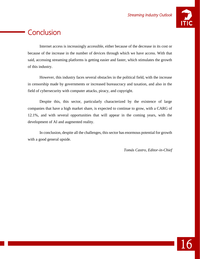

# **Conclusion**

Internet access is increasingly accessible, either because of the decrease in its cost or because of the increase in the number of devices through which we have access. With that said, accessing streaming platforms is getting easier and faster, which stimulates the growth of this industry.

However, this industry faces several obstacles in the political field, with the increase in censorship made by governments or increased bureaucracy and taxation, and also in the field of cybersecurity with computer attacks, piracy, and copyright.

Despite this, this sector, particularly characterized by the existence of large companies that have a high market share, is expected to continue to grow, with a CARG of 12.1%, and with several opportunities that will appear in the coming years, with the development of AI and augmented reality.

In conclusion, despite all the challenges, this sector has enormous potential for growth with a good general upside.

*Tomás Castro, Editor-in-Chief*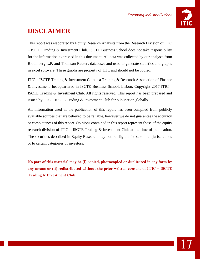

## **DISCLAIMER**

This report was elaborated by Equity Research Analysts from the Research Division of ITIC – ISCTE Trading & Investment Club. ISCTE Business School does not take responsibility for the information expressed in this document. All data was collected by our analysts from Bloomberg L.P. and Thomson Reuters databases and used to generate statistics and graphs in excel software. These graphs are property of ITIC and should not be copied.

ITIC – ISCTE Trading & Investment Club is a Training & Research Association of Finance & Investment, headquartered in ISCTE Business School, Lisbon. Copyright 2017 ITIC – ISCTE Trading & Investment Club. All rights reserved. This report has been prepared and issued by ITIC – ISCTE Trading  $&$  Investment Club for publication globally.

All information used in the publication of this report has been compiled from publicly available sources that are believed to be reliable, however we do not guarantee the accuracy or completeness of this report. Opinions contained in this report represent those of the equity research division of ITIC – ISCTE Trading & Investment Club at the time of publication. The securities described in Equity Research may not be eligible for sale in all jurisdictions or to certain categories of investors.

**No part of this material may be (i) copied, photocopied or duplicated in any form by any means or (ii) redistributed without the prior written consent of ITIC – ISCTE Trading & Investment Club.**